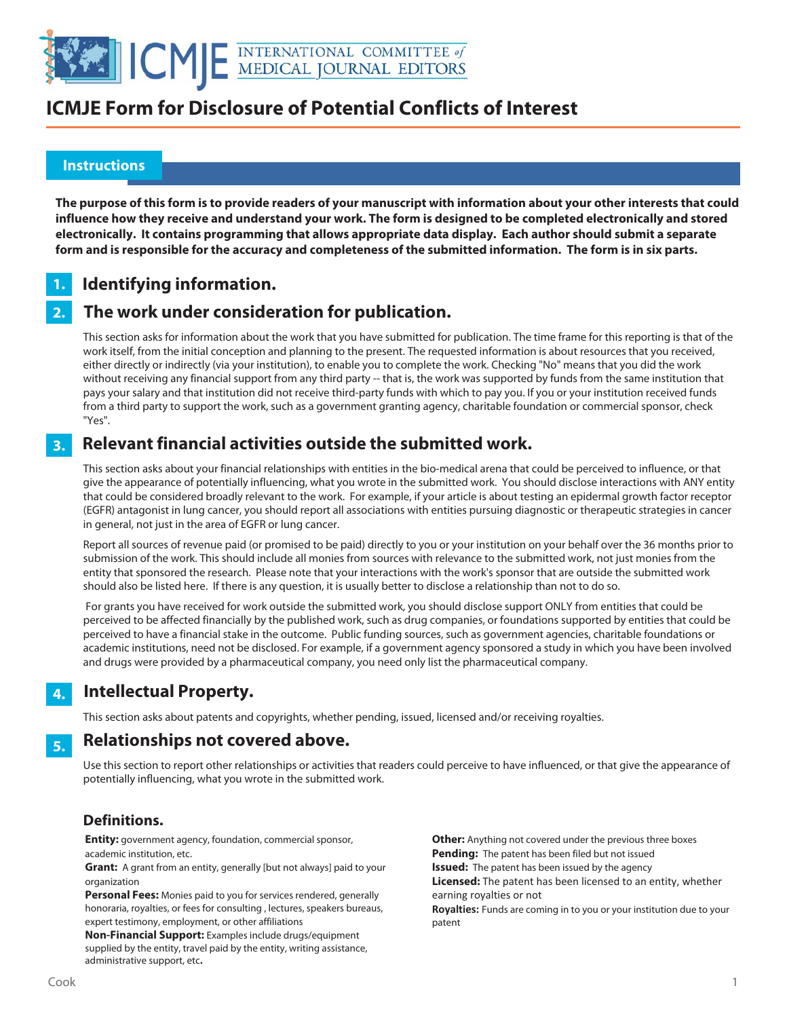

## **Instructions**

 

> **The purpose of this form is to provide readers of your manuscript with information about your other interests that could influence how they receive and understand your work. The form is designed to be completed electronically and stored electronically. It contains programming that allows appropriate data display. Each author should submit a separate form and is responsible for the accuracy and completeness of the submitted information. The form is in six parts.**

### **Identifying information. 1.**

### **The work under consideration for publication. 2.**

This section asks for information about the work that you have submitted for publication. The time frame for this reporting is that of the work itself, from the initial conception and planning to the present. The requested information is about resources that you received, either directly or indirectly (via your institution), to enable you to complete the work. Checking "No" means that you did the work without receiving any financial support from any third party -- that is, the work was supported by funds from the same institution that pays your salary and that institution did not receive third-party funds with which to pay you. If you or your institution received funds from a third party to support the work, such as a government granting agency, charitable foundation or commercial sponsor, check "Yes".

### **Relevant financial activities outside the submitted work. 3.**

This section asks about your financial relationships with entities in the bio-medical arena that could be perceived to influence, or that give the appearance of potentially influencing, what you wrote in the submitted work. You should disclose interactions with ANY entity that could be considered broadly relevant to the work. For example, if your article is about testing an epidermal growth factor receptor (EGFR) antagonist in lung cancer, you should report all associations with entities pursuing diagnostic or therapeutic strategies in cancer in general, not just in the area of EGFR or lung cancer.

Report all sources of revenue paid (or promised to be paid) directly to you or your institution on your behalf over the 36 months prior to submission of the work. This should include all monies from sources with relevance to the submitted work, not just monies from the entity that sponsored the research. Please note that your interactions with the work's sponsor that are outside the submitted work should also be listed here. If there is any question, it is usually better to disclose a relationship than not to do so.

 For grants you have received for work outside the submitted work, you should disclose support ONLY from entities that could be perceived to be affected financially by the published work, such as drug companies, or foundations supported by entities that could be perceived to have a financial stake in the outcome. Public funding sources, such as government agencies, charitable foundations or academic institutions, need not be disclosed. For example, if a government agency sponsored a study in which you have been involved and drugs were provided by a pharmaceutical company, you need only list the pharmaceutical company.

### **Intellectual Property. 4.**

This section asks about patents and copyrights, whether pending, issued, licensed and/or receiving royalties.

### **Relationships not covered above. 5.**

Use this section to report other relationships or activities that readers could perceive to have influenced, or that give the appearance of potentially influencing, what you wrote in the submitted work.

## **Definitions.**

**Entity:** government agency, foundation, commercial sponsor, academic institution, etc.

**Grant:** A grant from an entity, generally [but not always] paid to your organization

**Personal Fees:** Monies paid to you for services rendered, generally honoraria, royalties, or fees for consulting , lectures, speakers bureaus, expert testimony, employment, or other affiliations

**Non-Financial Support:** Examples include drugs/equipment supplied by the entity, travel paid by the entity, writing assistance, administrative support, etc**.**

**Other:** Anything not covered under the previous three boxes **Pending:** The patent has been filed but not issued **Issued:** The patent has been issued by the agency **Licensed:** The patent has been licensed to an entity, whether earning royalties or not

**Royalties:** Funds are coming in to you or your institution due to your patent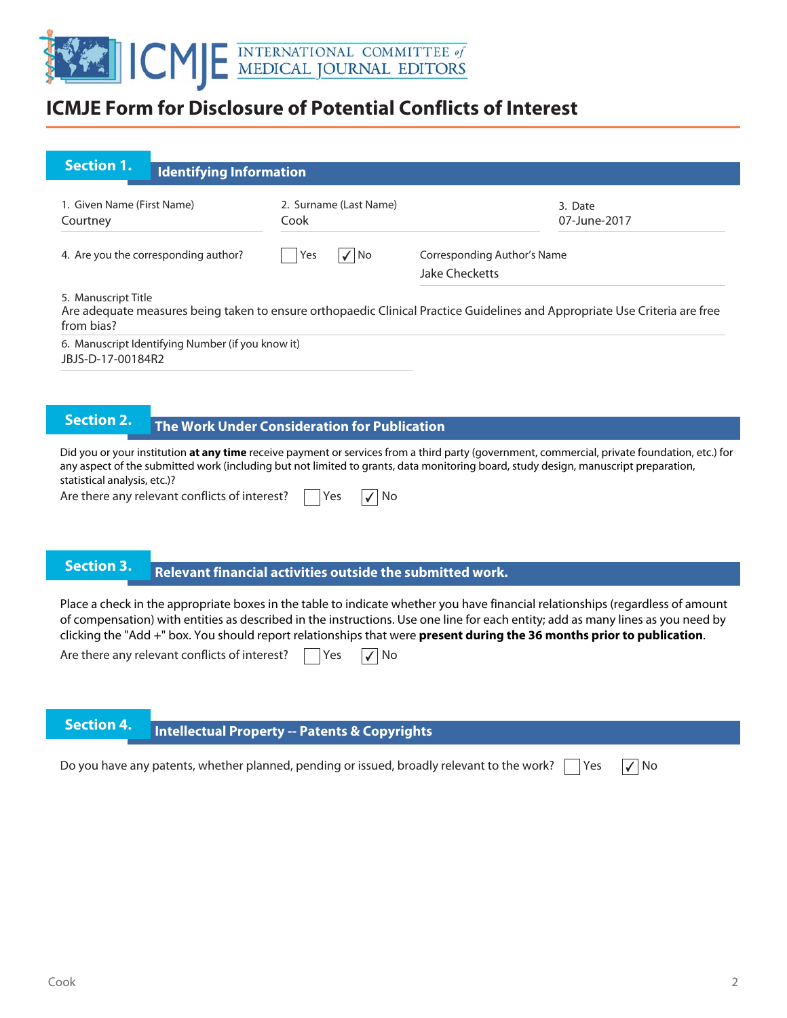

| <b>Section 1.</b>                      | <b>Identifying Information</b>                    |                                |                                                                                                                            |  |
|----------------------------------------|---------------------------------------------------|--------------------------------|----------------------------------------------------------------------------------------------------------------------------|--|
| 1. Given Name (First Name)<br>Courtney |                                                   | 2. Surname (Last Name)<br>Cook | 3. Date<br>07-June-2017                                                                                                    |  |
| 4. Are you the corresponding author?   |                                                   | $\sqrt{ N_{0}}$<br>Yes         | Corresponding Author's Name<br>Jake Checketts                                                                              |  |
| 5. Manuscript Title<br>from bias?      |                                                   |                                | Are adequate measures being taken to ensure orthopaedic Clinical Practice Guidelines and Appropriate Use Criteria are free |  |
| JBJS-D-17-00184R2                      | 6. Manuscript Identifying Number (if you know it) |                                |                                                                                                                            |  |

# **The Work Under Consideration for Publication**

Did you or your institution **at any time** receive payment or services from a third party (government, commercial, private foundation, etc.) for any aspect of the submitted work (including but not limited to grants, data monitoring board, study design, manuscript preparation, statistical analysis, etc.)?

Are there any relevant conflicts of interest?  $\Box$  Yes  $\Box$  No

|  | ۰. |  |
|--|----|--|
|  |    |  |

# **Relevant financial activities outside the submitted work. Section 3. Relevant financial activities outset**

Place a check in the appropriate boxes in the table to indicate whether you have financial relationships (regardless of amount of compensation) with entities as described in the instructions. Use one line for each entity; add as many lines as you need by clicking the "Add +" box. You should report relationships that were **present during the 36 months prior to publication**.

Are there any relevant conflicts of interest?  $\Box$  Yes  $\Box$  No

# **Intellectual Property -- Patents & Copyrights**

Do you have any patents, whether planned, pending or issued, broadly relevant to the work?  $\vert \ \vert$  Yes  $\vert \sqrt{\vert N}$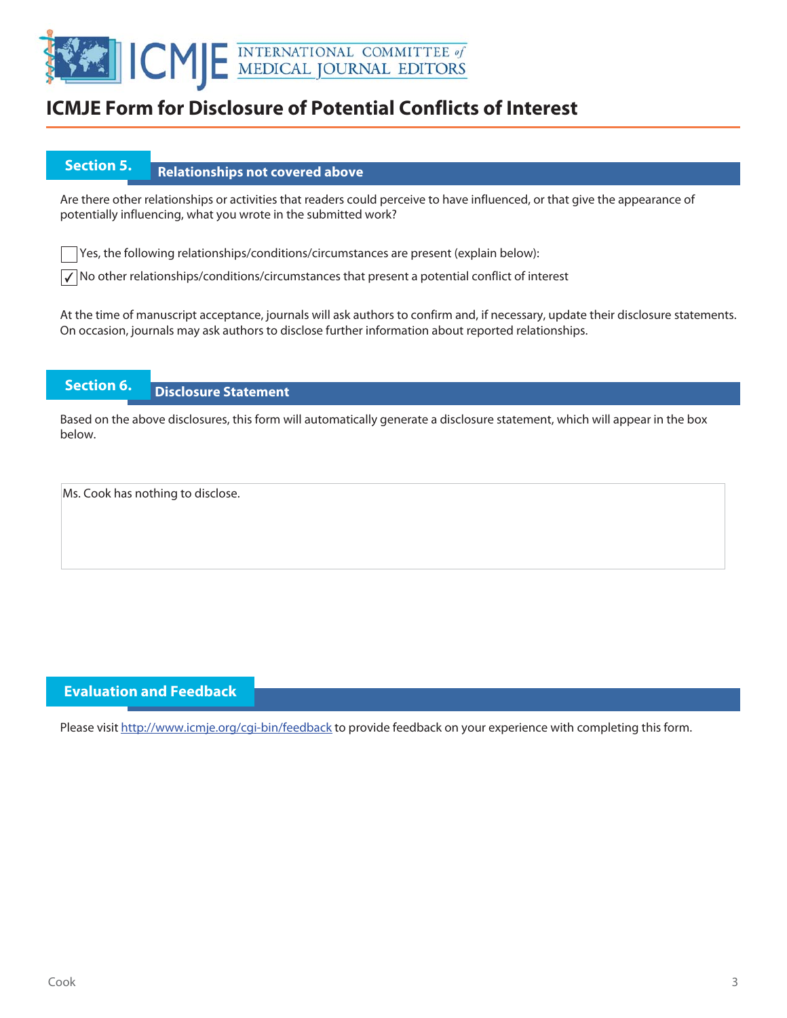

# **Section 5.** Relationships not covered above

Are there other relationships or activities that readers could perceive to have influenced, or that give the appearance of potentially influencing, what you wrote in the submitted work?

Yes, the following relationships/conditions/circumstances are present (explain below):

 $\sqrt{\ }$  No other relationships/conditions/circumstances that present a potential conflict of interest

At the time of manuscript acceptance, journals will ask authors to confirm and, if necessary, update their disclosure statements. On occasion, journals may ask authors to disclose further information about reported relationships.

# **Section 6. Disclosure Statement**

Based on the above disclosures, this form will automatically generate a disclosure statement, which will appear in the box below.

Ms. Cook has nothing to disclose.

## **Evaluation and Feedback**

Please visit http://www.icmje.org/cgi-bin/feedback to provide feedback on your experience with completing this form.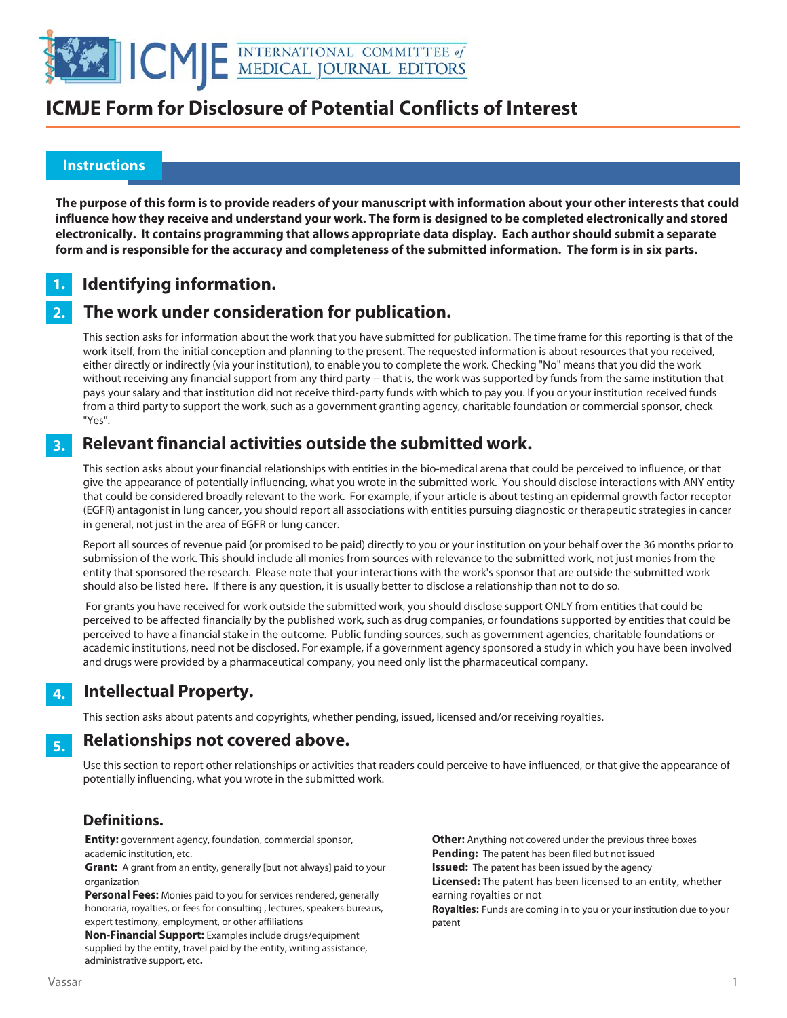

## **Instructions**

 

> **The purpose of this form is to provide readers of your manuscript with information about your other interests that could influence how they receive and understand your work. The form is designed to be completed electronically and stored electronically. It contains programming that allows appropriate data display. Each author should submit a separate form and is responsible for the accuracy and completeness of the submitted information. The form is in six parts.**

### **Identifying information. 1.**

### **The work under consideration for publication. 2.**

This section asks for information about the work that you have submitted for publication. The time frame for this reporting is that of the work itself, from the initial conception and planning to the present. The requested information is about resources that you received, either directly or indirectly (via your institution), to enable you to complete the work. Checking "No" means that you did the work without receiving any financial support from any third party -- that is, the work was supported by funds from the same institution that pays your salary and that institution did not receive third-party funds with which to pay you. If you or your institution received funds from a third party to support the work, such as a government granting agency, charitable foundation or commercial sponsor, check "Yes".

### **Relevant financial activities outside the submitted work. 3.**

This section asks about your financial relationships with entities in the bio-medical arena that could be perceived to influence, or that give the appearance of potentially influencing, what you wrote in the submitted work. You should disclose interactions with ANY entity that could be considered broadly relevant to the work. For example, if your article is about testing an epidermal growth factor receptor (EGFR) antagonist in lung cancer, you should report all associations with entities pursuing diagnostic or therapeutic strategies in cancer in general, not just in the area of EGFR or lung cancer.

Report all sources of revenue paid (or promised to be paid) directly to you or your institution on your behalf over the 36 months prior to submission of the work. This should include all monies from sources with relevance to the submitted work, not just monies from the entity that sponsored the research. Please note that your interactions with the work's sponsor that are outside the submitted work should also be listed here. If there is any question, it is usually better to disclose a relationship than not to do so.

 For grants you have received for work outside the submitted work, you should disclose support ONLY from entities that could be perceived to be affected financially by the published work, such as drug companies, or foundations supported by entities that could be perceived to have a financial stake in the outcome. Public funding sources, such as government agencies, charitable foundations or academic institutions, need not be disclosed. For example, if a government agency sponsored a study in which you have been involved and drugs were provided by a pharmaceutical company, you need only list the pharmaceutical company.

### **Intellectual Property. 4.**

This section asks about patents and copyrights, whether pending, issued, licensed and/or receiving royalties.

### **Relationships not covered above. 5.**

Use this section to report other relationships or activities that readers could perceive to have influenced, or that give the appearance of potentially influencing, what you wrote in the submitted work.

## **Definitions.**

**Entity:** government agency, foundation, commercial sponsor, academic institution, etc.

**Grant:** A grant from an entity, generally [but not always] paid to your organization

**Personal Fees:** Monies paid to you for services rendered, generally honoraria, royalties, or fees for consulting , lectures, speakers bureaus, expert testimony, employment, or other affiliations

**Non-Financial Support:** Examples include drugs/equipment supplied by the entity, travel paid by the entity, writing assistance, administrative support, etc**.**

**Other:** Anything not covered under the previous three boxes **Pending:** The patent has been filed but not issued **Issued:** The patent has been issued by the agency **Licensed:** The patent has been licensed to an entity, whether earning royalties or not

**Royalties:** Funds are coming in to you or your institution due to your patent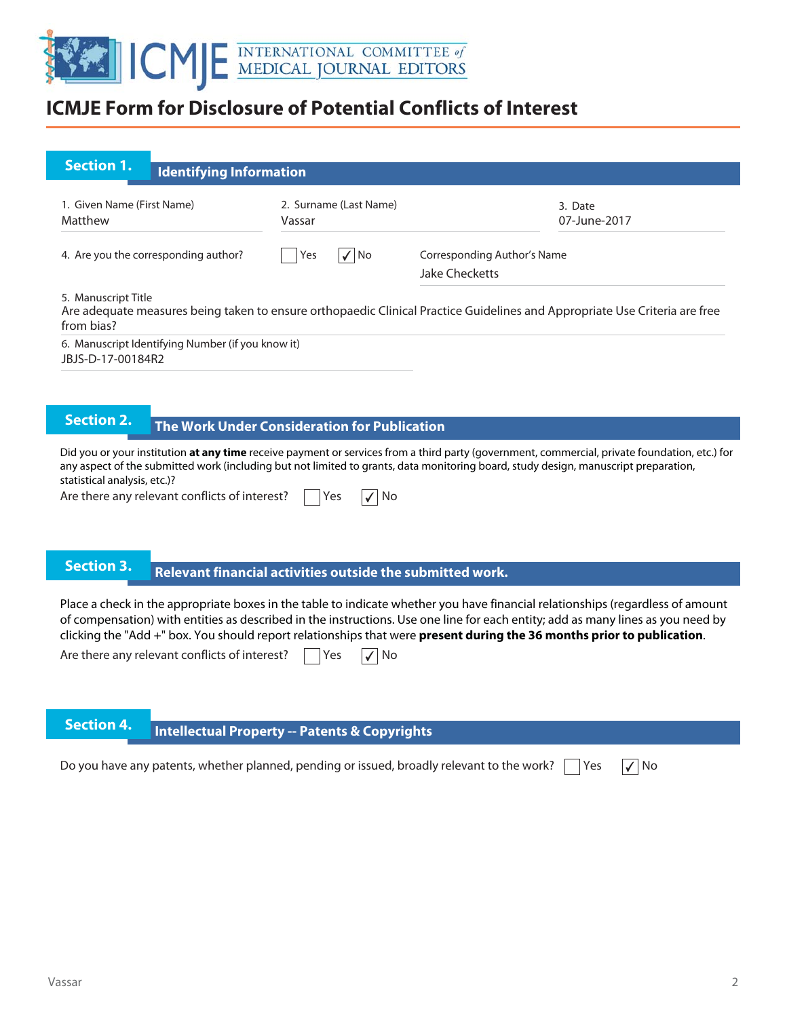

| <b>Section 1.</b>                     | <b>Identifying Information</b>                    |                                  |                                                                                                                            |
|---------------------------------------|---------------------------------------------------|----------------------------------|----------------------------------------------------------------------------------------------------------------------------|
| 1. Given Name (First Name)<br>Matthew |                                                   | 2. Surname (Last Name)<br>Vassar | 3. Date<br>07-June-2017                                                                                                    |
|                                       | 4. Are you the corresponding author?              | $\sqrt{ N}$<br>Yes               | Corresponding Author's Name<br>Jake Checketts                                                                              |
| 5. Manuscript Title<br>from bias?     |                                                   |                                  | Are adequate measures being taken to ensure orthopaedic Clinical Practice Guidelines and Appropriate Use Criteria are free |
| JBJS-D-17-00184R2                     | 6. Manuscript Identifying Number (if you know it) |                                  |                                                                                                                            |

# **The Work Under Consideration for Publication**

Did you or your institution **at any time** receive payment or services from a third party (government, commercial, private foundation, etc.) for any aspect of the submitted work (including but not limited to grants, data monitoring board, study design, manuscript preparation, statistical analysis, etc.)?

Are there any relevant conflicts of interest?  $\Box$  Yes  $\Box$  No

|  | ۰.<br>., |  |
|--|----------|--|
|  |          |  |

# **Rection 3.** Relevant financial activities outside the submitted work.

Place a check in the appropriate boxes in the table to indicate whether you have financial relationships (regardless of amount of compensation) with entities as described in the instructions. Use one line for each entity; add as many lines as you need by clicking the "Add +" box. You should report relationships that were **present during the 36 months prior to publication**.

Are there any relevant conflicts of interest?  $\Box$  Yes  $\Box$  No

# **Intellectual Property -- Patents & Copyrights**

Do you have any patents, whether planned, pending or issued, broadly relevant to the work?  $\vert \ \vert$  Yes  $\vert \sqrt{\vert N}$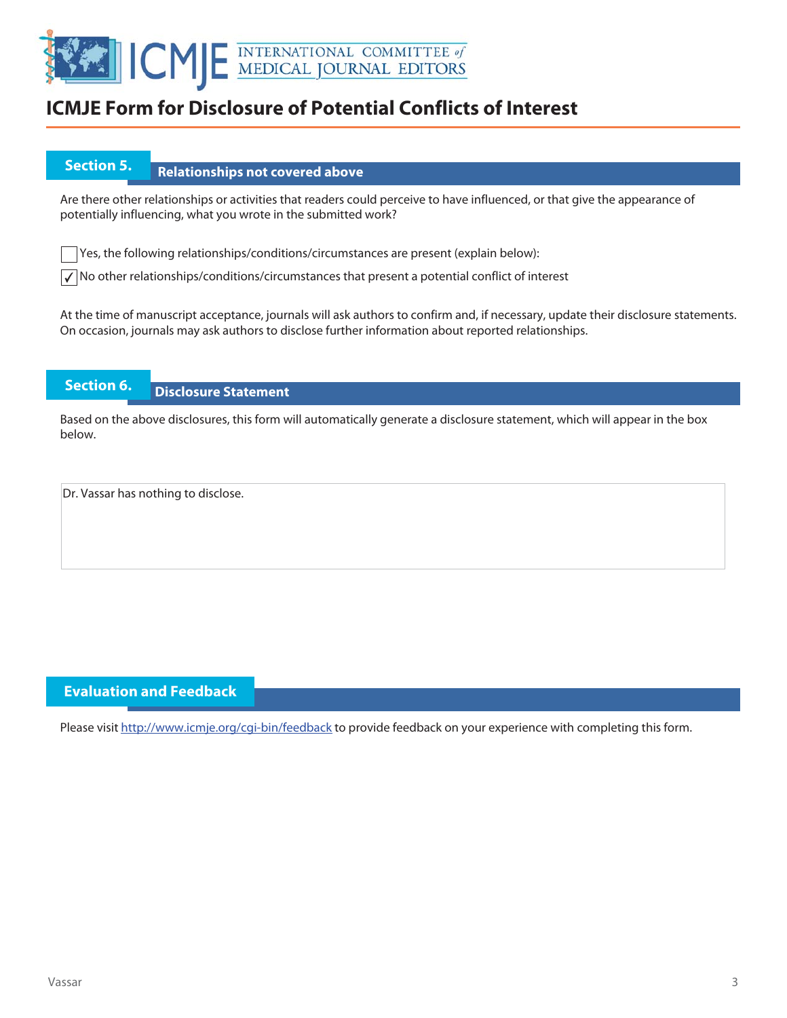

# **Section 5.** Relationships not covered above

Are there other relationships or activities that readers could perceive to have influenced, or that give the appearance of potentially influencing, what you wrote in the submitted work?

Yes, the following relationships/conditions/circumstances are present (explain below):

 $\sqrt{\ }$  No other relationships/conditions/circumstances that present a potential conflict of interest

At the time of manuscript acceptance, journals will ask authors to confirm and, if necessary, update their disclosure statements. On occasion, journals may ask authors to disclose further information about reported relationships.

# **Section 6. Disclosure Statement**

Based on the above disclosures, this form will automatically generate a disclosure statement, which will appear in the box below.

Dr. Vassar has nothing to disclose.

## **Evaluation and Feedback**

Please visit http://www.icmje.org/cgi-bin/feedback to provide feedback on your experience with completing this form.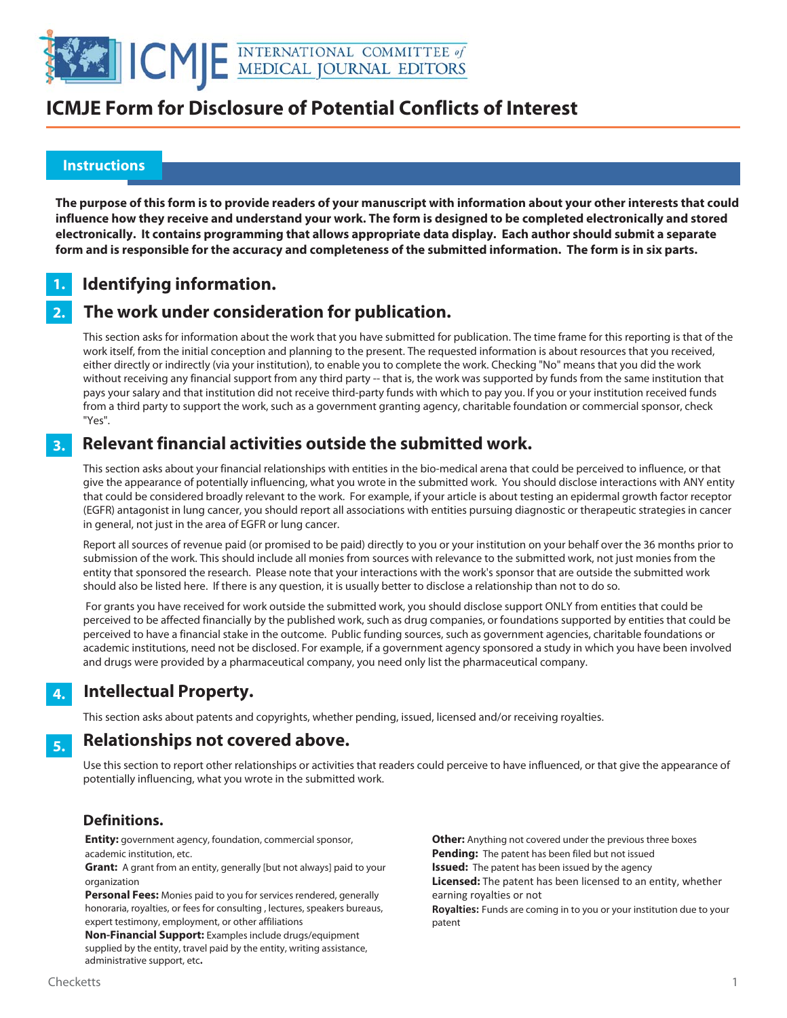

## **Instructions**

 

> **The purpose of this form is to provide readers of your manuscript with information about your other interests that could influence how they receive and understand your work. The form is designed to be completed electronically and stored electronically. It contains programming that allows appropriate data display. Each author should submit a separate form and is responsible for the accuracy and completeness of the submitted information. The form is in six parts.**

### **Identifying information. 1.**

### **The work under consideration for publication. 2.**

This section asks for information about the work that you have submitted for publication. The time frame for this reporting is that of the work itself, from the initial conception and planning to the present. The requested information is about resources that you received, either directly or indirectly (via your institution), to enable you to complete the work. Checking "No" means that you did the work without receiving any financial support from any third party -- that is, the work was supported by funds from the same institution that pays your salary and that institution did not receive third-party funds with which to pay you. If you or your institution received funds from a third party to support the work, such as a government granting agency, charitable foundation or commercial sponsor, check "Yes".

### **Relevant financial activities outside the submitted work. 3.**

This section asks about your financial relationships with entities in the bio-medical arena that could be perceived to influence, or that give the appearance of potentially influencing, what you wrote in the submitted work. You should disclose interactions with ANY entity that could be considered broadly relevant to the work. For example, if your article is about testing an epidermal growth factor receptor (EGFR) antagonist in lung cancer, you should report all associations with entities pursuing diagnostic or therapeutic strategies in cancer in general, not just in the area of EGFR or lung cancer.

Report all sources of revenue paid (or promised to be paid) directly to you or your institution on your behalf over the 36 months prior to submission of the work. This should include all monies from sources with relevance to the submitted work, not just monies from the entity that sponsored the research. Please note that your interactions with the work's sponsor that are outside the submitted work should also be listed here. If there is any question, it is usually better to disclose a relationship than not to do so.

 For grants you have received for work outside the submitted work, you should disclose support ONLY from entities that could be perceived to be affected financially by the published work, such as drug companies, or foundations supported by entities that could be perceived to have a financial stake in the outcome. Public funding sources, such as government agencies, charitable foundations or academic institutions, need not be disclosed. For example, if a government agency sponsored a study in which you have been involved and drugs were provided by a pharmaceutical company, you need only list the pharmaceutical company.

### **Intellectual Property. 4.**

This section asks about patents and copyrights, whether pending, issued, licensed and/or receiving royalties.

### **Relationships not covered above. 5.**

Use this section to report other relationships or activities that readers could perceive to have influenced, or that give the appearance of potentially influencing, what you wrote in the submitted work.

## **Definitions.**

**Entity:** government agency, foundation, commercial sponsor, academic institution, etc.

**Grant:** A grant from an entity, generally [but not always] paid to your organization

**Personal Fees:** Monies paid to you for services rendered, generally honoraria, royalties, or fees for consulting , lectures, speakers bureaus, expert testimony, employment, or other affiliations

**Non-Financial Support:** Examples include drugs/equipment supplied by the entity, travel paid by the entity, writing assistance, administrative support, etc**.**

**Other:** Anything not covered under the previous three boxes **Pending:** The patent has been filed but not issued **Issued:** The patent has been issued by the agency **Licensed:** The patent has been licensed to an entity, whether earning royalties or not

**Royalties:** Funds are coming in to you or your institution due to your patent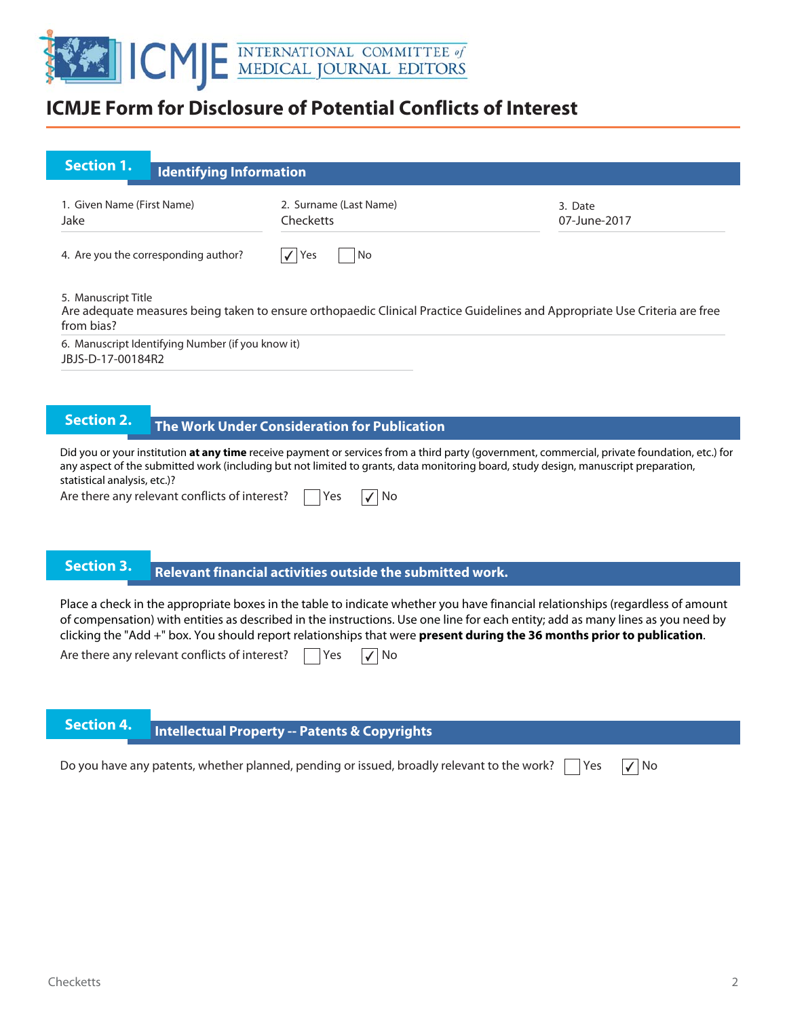

| <b>Section 1.</b>                  | <b>Identifying Information</b>       |                                            |                         |  |
|------------------------------------|--------------------------------------|--------------------------------------------|-------------------------|--|
| 1. Given Name (First Name)<br>Jake |                                      | 2. Surname (Last Name)<br><b>Checketts</b> | 3. Date<br>07-June-2017 |  |
|                                    | 4. Are you the corresponding author? | $\sqrt{}$<br>Yes<br>No                     |                         |  |
| 5. Manuscript Title                |                                      |                                            |                         |  |

Are adequate measures being taken to ensure orthopaedic Clinical Practice Guidelines and Appropriate Use Criteria are free from bias?

6. Manuscript Identifying Number (if you know it)

JBJS-D-17-00184R2

# **The Work Under Consideration for Publication**

Did you or your institution **at any time** receive payment or services from a third party (government, commercial, private foundation, etc.) for any aspect of the submitted work (including but not limited to grants, data monitoring board, study design, manuscript preparation, statistical analysis, etc.)?

Are there any relevant conflicts of interest?  $\Box$  Yes

|  | ۰.<br>× |
|--|---------|
|--|---------|

# **Relevant financial activities outside the submitted work. Section 3. Relevant financial activities outset**

Place a check in the appropriate boxes in the table to indicate whether you have financial relationships (regardless of amount of compensation) with entities as described in the instructions. Use one line for each entity; add as many lines as you need by clicking the "Add +" box. You should report relationships that were **present during the 36 months prior to publication**.

Are there any relevant conflicts of interest?  $\Box$  Yes  $\Box$  No

# **Intellectual Property -- Patents & Copyrights**

Do you have any patents, whether planned, pending or issued, broadly relevant to the work?  $\vert \ \vert$  Yes  $\vert \sqrt{\vert N}$